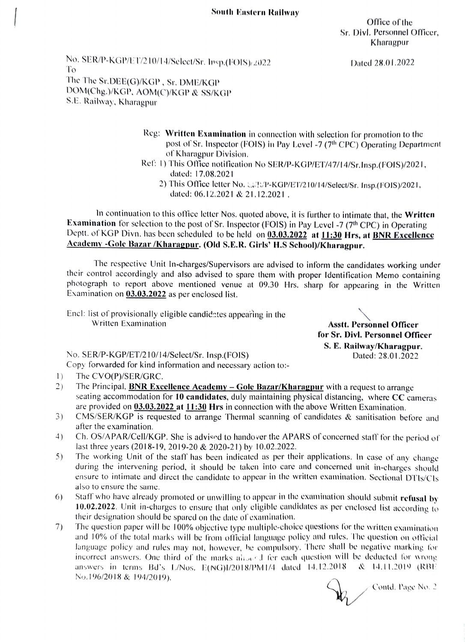Office of the Sr. Divl. Personnel Officer, Kharagpur

No. SER/P-KGP/ET/210/14/Select/Sr. 1psp.(FOIS)/2022 Dated 28.01.2022 The The Sr.DEE(G)/KGP, Sr. DME/KGP DOM(Chg. )/kGP. AOM(C)/KGP & SS/KGP S.E. Railway, Kharagpur

- Reg: Written Examination in connection with selection for promotion to the post of Sr. Inspector (FOIS) in Pay Level -7 (7<sup>th</sup> CPC) Operating Department of Kharagpur Division.
- Ref: 1) This Office notification No SER/P-KGP/ET/47/14/Sr.Insp.(FOIS)/2021, dated: 17.08.2021
	- 2) This Office letter No. SEP/P-KGP/ET/210/14/Select/Sr. Insp.(FOIS)/2021, dated: 06.12.2021 & 21.12.2021.

In continuation to this office letter Nos. quoted above, it is further to intimate that, the Written Examination for selection to the post of Sr. Inspector (FOIS) in Pay Level -7 (7<sup>th</sup> CPC) in Operating Deptt. of KGP Divn. has been scheduled to be held on 03.03.2022 at 11:30 Hrs, at BNR Excellence Academy -Gole Bazar /Kharagpur. (Old S.E.R. Girls' H.S School)/Kharagpur.

The respective Unit In-charges/Supervisors are advised to inform the candidates working under their control accordingly and also advised to spare them with proper ldentification Memo containing photograph to report above mentioned venue at 09.30 Hrs. sharp for appearing in the Written Examination on 03.03.2022 as per encloscd list.

Encl: list of provisionally eligible candidates appearing in the Written Examination **Asstt. Personnel Officer** 

for Sr. Divl. Personnel Officer S. E. Railway/Kharagpur.

No. SER/P-KGP/ET/210/14/Select/Sr. Insp.(FOIS) Dated: 28.01.2022

Copy forwarded for kind information and necesary action to:

- $\left| \right|$ The CVO(P)/SER/GRC.
- $2)$ The Principal, **BNR Excellence Academy – Gole Bazar/Kharagpur** with a request to arrange seating accommodation for 10 candidates, duly maintaining physical distancing, where  $CC$  cameras are provided on 03.03.2022 at 11:30 Hrs in connection with the above Written Examination.
- 3) CMS/SER/KGP is requested to arrange Thermal scanning of candidates & sanitisation before and after the examination.
- Ch. OS/APAR/Cell/KGP. She is advised to handover the APARS of concerned staff for the period of last three years (2018-19, 2019-20 & 2020-21) by 10.02.2022. 4)
- 5) The working Unit of the staff has been indicated as per their applications. In case of any change during the intervening period, it should be taken into care and concerned unit in-charges should ensure to intimate and direct the candidate to appear in the written examination. Sectional DTIs/Cls also to ensure the same.
- Staff who have already promoted or unwilling to appear in the examination should submit refusal by 10.02.2022. Unit in-churges to ensure that only eligible candidates as per enclosed list according to their designation should be spured on the date of exumination. 6)
- 7) The question paper will be 100% objective type multiple-choice questions tor the written examiation and 10% of the total marks will be from oflicial language policy and rules. The question on oficial language policy and rules may not, however, he compulsory. There shall be negative marking tor incorrect answers. One third of the marks aligned for each question will be deducted for wrong answers in terms Bd's L/Nos. E(NG)I/2018/PM1/4 dated 14. 12.2018 & 14.11.2019 (RBE No.196/2018 & 194/2019).

Contd. Page No. 2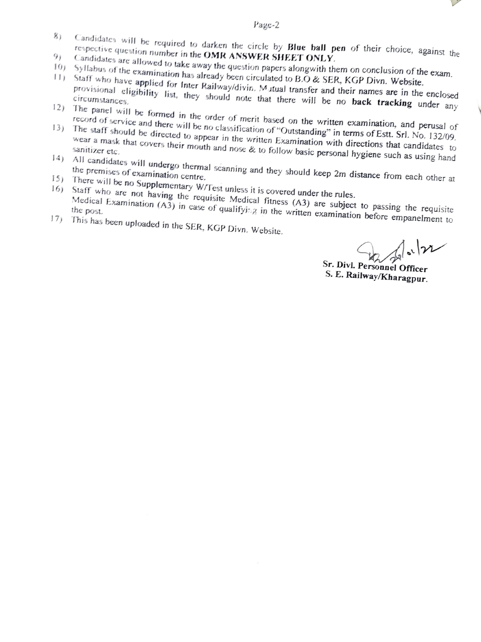

- Page-2<br>Candidates will be required to darken the circle by Blue ball pen of their choice, against the
- 
- 
- 8) Candidates will be required to darken the circle by **Blue ball pen** of their choice, against the<br>
19) Candidates are allowed to take away the question papers alongwith them on conclusion of the exampled<br>
10) Syllabus o provisional eligibility list, they should note that there will be no back tracking under any
- 12) The panel will be formed in the order of merit based on the written examination, and perusal of service and there will be no classification of the non-cordination of the method of  $\frac{1}{2}$
- 13) The staff should be directed to appear in the written Examination with directions that candidates to wear a mask that covers their mouth and nose & to follow basic personal hygiene such as using hand<br>sanitizer etc.<br>All candidates will under sanitizer etc.
- 14) All candidates will undergo thermal scanning and they should keep 2m distance from each other at the premises of examination centre.<br>15) There will be no Supplementary W/Test unless it is covered under the rules.
- 
- the premises of examination centre.<br>
<sup>15</sup>) There will be no Supplementary W/Test unless it is covered under the rules.<br>
<sup>16</sup>) Staff who are not having the requisite Medical fitness (A3) are subject to passing the requisit Medical Examination (A3) in case of qualifying in the written examination before empanelment to
- 17) This has been uploaded in the SER, KGP Divn. Website.

 $\int_{0}^{1} | \gamma \gamma |$ 

Sr. Divl. Personnel Officer S. E. Railway/Kharagpur.